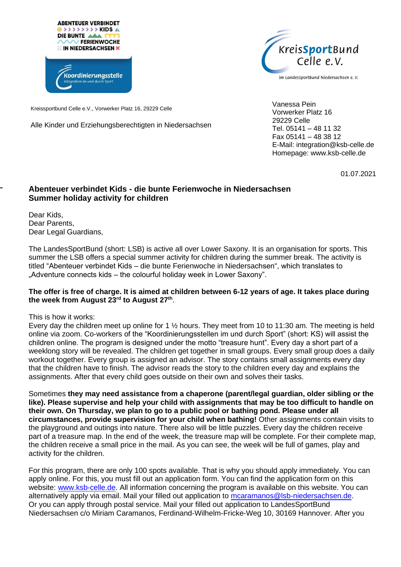



im LandesSportBund Niedersachsen e.V.

Kreissportbund Celle e.V., Vorwerker Platz 16, 29229 Celle

Alle Kinder und Erziehungsberechtigten in Niedersachsen

Vanessa Pein Vorwerker Platz 16 29229 Celle Tel. 05141 – 48 11 32 Fax 05141 – 48 38 12 E-Mail: integration@ksb-celle.de Homepage: www.ksb-celle.de

01.07.2021

## **Abenteuer verbindet Kids - die bunte Ferienwoche in Niedersachsen Summer holiday activity for children**

Dear Kids, Dear Parents, Dear Legal Guardians,

The LandesSportBund (short: LSB) is active all over Lower Saxony. It is an organisation for sports. This summer the LSB offers a special summer activity for children during the summer break. The activity is titled "Abenteuer verbindet Kids – die bunte Ferienwoche in Niedersachsen", which translates to "Adventure connects kids – the colourful holiday week in Lower Saxony".

## **The offer is free of charge. It is aimed at children between 6-12 years of age. It takes place during the week from August 23rd to August 27th** .

This is how it works:

Every day the children meet up online for 1 ½ hours. They meet from 10 to 11:30 am. The meeting is held online via zoom. Co-workers of the "Koordinierungsstellen im und durch Sport" (short: KS) will assist the children online. The program is designed under the motto "treasure hunt". Every day a short part of a weeklong story will be revealed. The children get together in small groups. Every small group does a daily workout together. Every group is assigned an advisor. The story contains small assignments every day that the children have to finish. The advisor reads the story to the children every day and explains the assignments. After that every child goes outside on their own and solves their tasks.

Sometimes **they may need assistance from a chaperone (parent/legal guardian, older sibling or the like). Please supervise and help your child with assignments that may be too difficult to handle on their own. On Thursday, we plan to go to a public pool or bathing pond. Please under all circumstances, provide supervision for your child when bathing!** Other assignments contain visits to the playground and outings into nature. There also will be little puzzles. Every day the children receive part of a treasure map. In the end of the week, the treasure map will be complete. For their complete map, the children receive a small price in the mail. As you can see, the week will be full of games, play and activity for the children.

For this program, there are only 100 spots available. That is why you should apply immediately. You can apply online. For this, you must fill out an application form. You can find the application form on this website: [www.ksb-celle.de.](http://www.ksb-celle.de/) All information concerning the program is available on this website. You can alternatively apply via email. Mail your filled out application to [mcaramanos@lsb-niedersachsen.de.](mailto:mcaramanos@lsb-niedersachsen.de) Or you can apply through postal service. Mail your filled out application to LandesSportBund Niedersachsen c/o Miriam Caramanos, Ferdinand-Wilhelm-Fricke-Weg 10, 30169 Hannover. After you